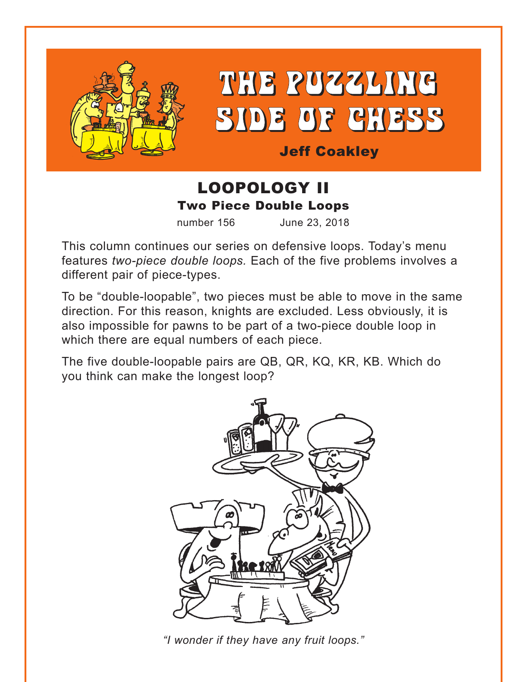



Jeff Coakley

# LOOPOLOGY II Two Piece Double Loops

number 156 June 23, 2018

This column continues our series on defensive loops. Today's menu features *two-piece double loops.* Each of the five problems involves a different pair of piece-types.

To be "double-loopable", two pieces must be able to move in the same direction. For this reason, knights are excluded. Less obviously, it is also impossible for pawns to be part of a two-piece double loop in which there are equal numbers of each piece.

The five double-loopable pairs are QB, QR, KQ, KR, KB. Which do you think can make the longest loop?



*"I wonder if they have any fruit loops."*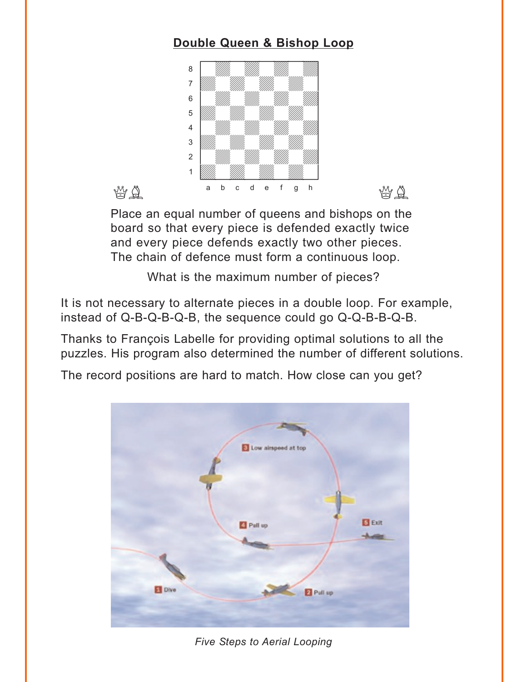# **[Double Queen & Bishop Loop](#page-5-0)**

<span id="page-1-0"></span>

Place an equal number of queens and bishops on the board so that every piece is defended exactly twice and every piece defends exactly two other pieces. The chain of defence must form a continuous loop.

What is the maximum number of pieces?

It is not necessary to alternate pieces in a double loop. For example, instead of Q-B-Q-B-Q-B, the sequence could go Q-Q-B-B-Q-B.

Thanks to François Labelle for providing optimal solutions to all the puzzles. His program also determined the number of different solutions.

The record positions are hard to match. How close can you get?



*Five Steps to Aerial Looping*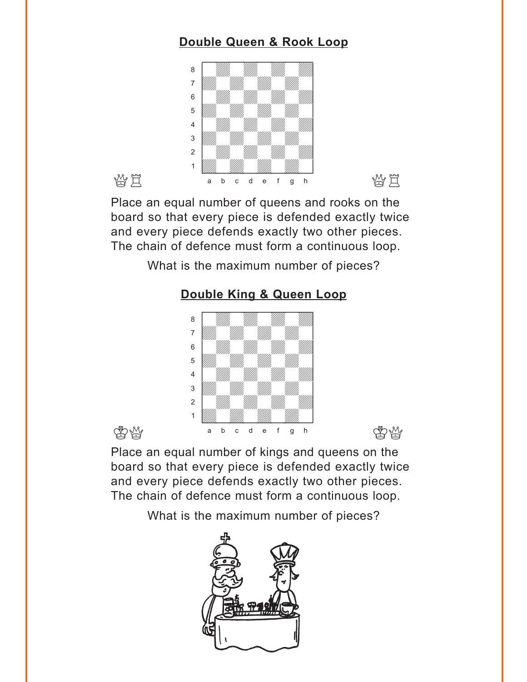# **[Double Queen & Rook Loop](#page-6-0)**

<span id="page-2-0"></span>

Place an equal number of queens and rooks on the board so that every piece is defended exactly twice and every piece defends exactly two other pieces. The chain of defence must form a continuous loop.

What is the maximum number of pieces?

### **[Double King & Queen Loop](#page-6-0)**



Place an equal number of kings and queens on the board so that every piece is defended exactly twice and every piece defends exactly two other pieces. The chain of defence must form a continuous loop.

What is the maximum number of pieces?

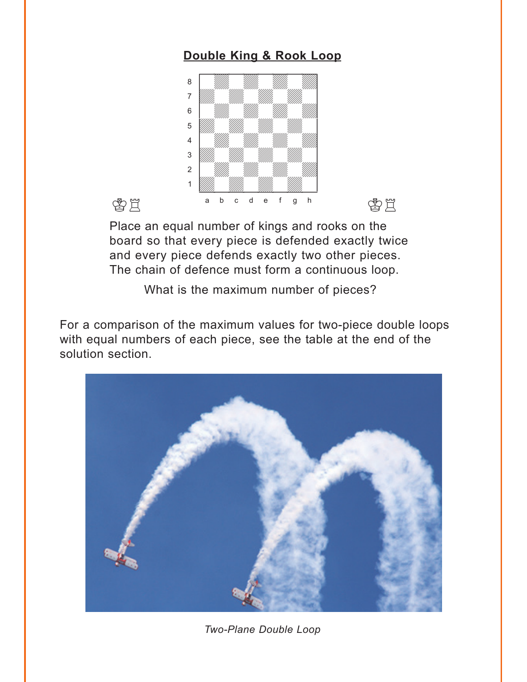## **[Double King & Rook Loop](#page-7-0)**

<span id="page-3-0"></span>

Place an equal number of kings and rooks on the board so that every piece is defended exactly twice and every piece defends exactly two other pieces. The chain of defence must form a continuous loop.

What is the maximum number of pieces?

For a comparison of the maximum values for two-piece double loops with equal numbers of each piece, see the table at the end of the solution section.



*Two-Plane Double Loop*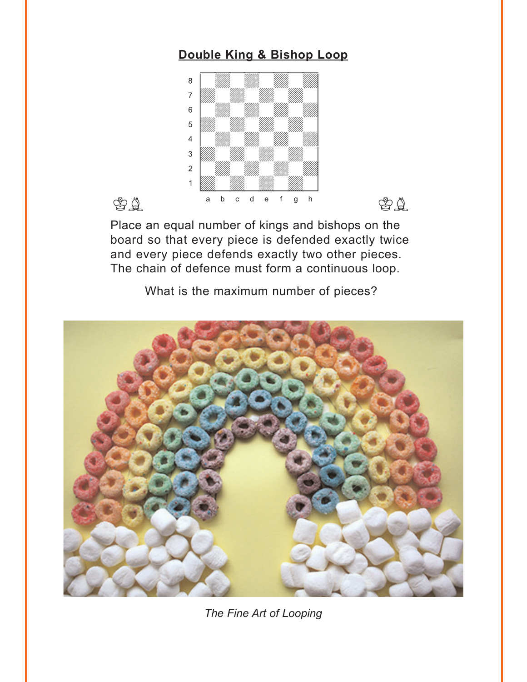## **[Double King & Bishop Loop](#page-8-0)**

<span id="page-4-0"></span>



Place an equal number of kings and bishops on the board so that every piece is defended exactly twice and every piece defends exactly two other pieces. The chain of defence must form a continuous loop.

What is the maximum number of pieces?



*The Fine Art of Looping*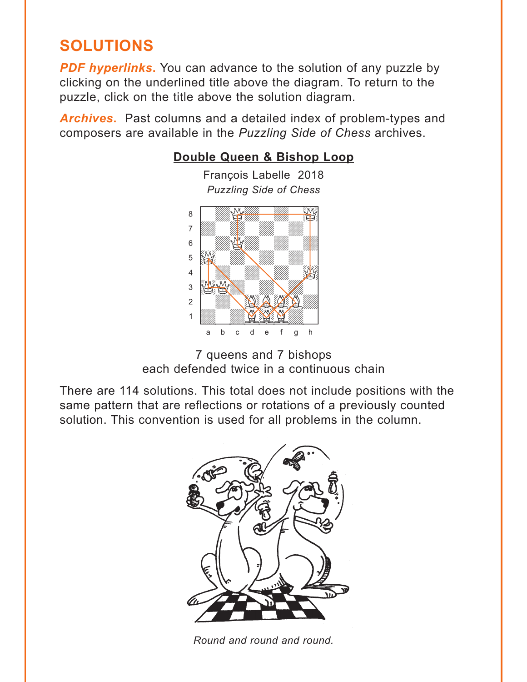# <span id="page-5-0"></span>**SOLUTIONS**

**PDF hyperlinks.** You can advance to the solution of any puzzle by clicking on the underlined title above the diagram. To return to the puzzle, click on the title above the solution diagram.

*Archives***.** Past columns and a detailed index of problem-types and composers are available in the *Puzzling Side of Chess* archives.

## **[Double Queen & Bishop Loop](#page-1-0)**

François Labelle 2018 *Puzzling Side of Chess*



<sup>7</sup> queens and 7 bishops each defended twice in a continuous chain

There are 114 solutions. This total does not include positions with the same pattern that are reflections or rotations of a previously counted solution. This convention is used for all problems in the column.



*Round and round and round.*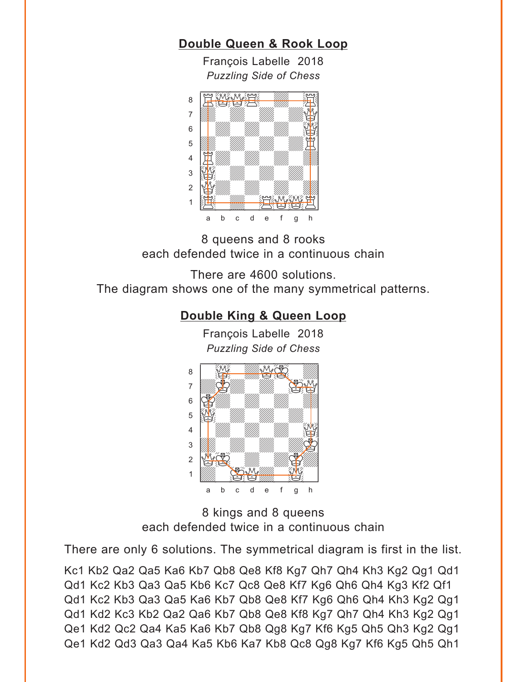### <span id="page-6-0"></span>**[Double Queen & Rook Loop](#page-2-0)**

François Labelle 2018 *Puzzling Side of Chess*



8 queens and 8 rooks each defended twice in a continuous chain

There are 4600 solutions. The diagram shows one of the many symmetrical patterns.

### **[Double King & Queen Loop](#page-2-0)**

François Labelle 2018 *Puzzling Side of Chess* w\_\_\_\_\_\_\_\_w



8 kings and 8 queens each defended twice in a continuous chain

There are only 6 solutions. The symmetrical diagram is first in the list.

Kc1 Kb2 Qa2 Qa5 Ka6 Kb7 Qb8 Qe8 Kf8 Kg7 Qh7 Qh4 Kh3 Kg2 Qg1 Qd1 Qd1 Kc2 Kb3 Qa3 Qa5 Kb6 Kc7 Qc8 Qe8 Kf7 Kg6 Qh6 Qh4 Kg3 Kf2 Qf1 Qd1 Kc2 Kb3 Qa3 Qa5 Ka6 Kb7 Qb8 Qe8 Kf7 Kg6 Qh6 Qh4 Kh3 Kg2 Qg1 Qd1 Kd2 Kc3 Kb2 Qa2 Qa6 Kb7 Qb8 Qe8 Kf8 Kg7 Qh7 Qh4 Kh3 Kg2 Qg1 Qe1 Kd2 Qc2 Qa4 Ka5 Ka6 Kb7 Qb8 Qg8 Kg7 Kf6 Kg5 Qh5 Qh3 Kg2 Qg1 Qe1 Kd2 Qd3 Qa3 Qa4 Ka5 Kb6 Ka7 Kb8 Qc8 Qg8 Kg7 Kf6 Kg5 Qh5 Qh1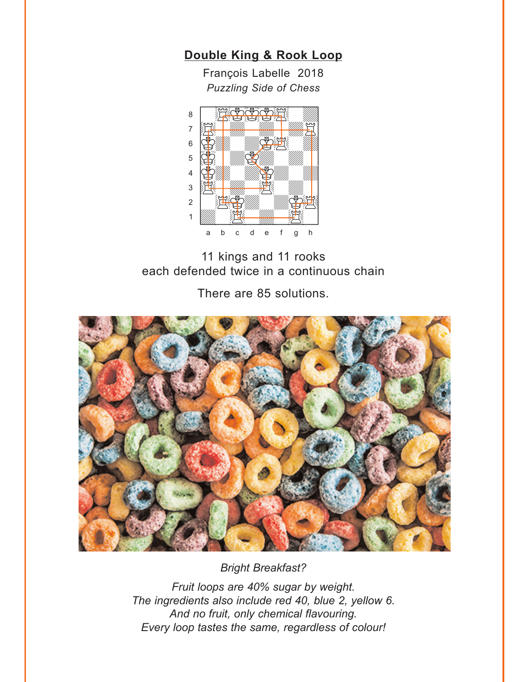<span id="page-7-0"></span>

François Labelle 2018 *Puzzling Side of Chess*



11 kings and 11 rooks each defended twice in a continuous chain

There are 85 solutions.



*Bright Breakfast?*

*Fruit loops are 40% sugar by weight. The ingredients also include red 40, blue 2, yellow 6. And no fruit, only chemical flavouring. Every loop tastes the same, regardless of colour!*